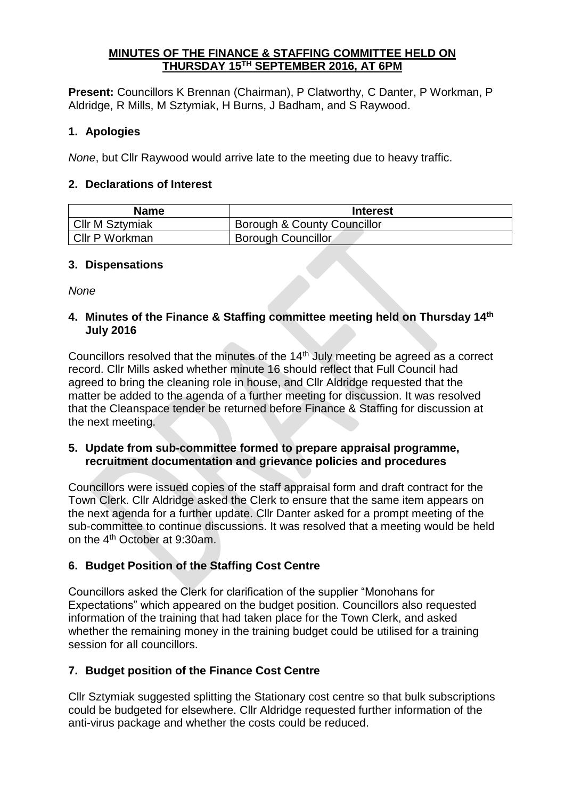#### **MINUTES OF THE FINANCE & STAFFING COMMITTEE HELD ON THURSDAY 15TH SEPTEMBER 2016, AT 6PM**

**Present:** Councillors K Brennan (Chairman), P Clatworthy, C Danter, P Workman, P Aldridge, R Mills, M Sztymiak, H Burns, J Badham, and S Raywood.

## **1. Apologies**

*None*, but Cllr Raywood would arrive late to the meeting due to heavy traffic.

## **2. Declarations of Interest**

| <b>Name</b>            | <b>Interest</b>             |
|------------------------|-----------------------------|
| <b>Cllr M Sztymiak</b> | Borough & County Councillor |
| Cllr P Workman         | <b>Borough Councillor</b>   |

## **3. Dispensations**

*None*

### **4. Minutes of the Finance & Staffing committee meeting held on Thursday 14th July 2016**

Councillors resolved that the minutes of the 14<sup>th</sup> July meeting be agreed as a correct record. Cllr Mills asked whether minute 16 should reflect that Full Council had agreed to bring the cleaning role in house, and Cllr Aldridge requested that the matter be added to the agenda of a further meeting for discussion. It was resolved that the Cleanspace tender be returned before Finance & Staffing for discussion at the next meeting.

## **5. Update from sub-committee formed to prepare appraisal programme, recruitment documentation and grievance policies and procedures**

Councillors were issued copies of the staff appraisal form and draft contract for the Town Clerk. Cllr Aldridge asked the Clerk to ensure that the same item appears on the next agenda for a further update. Cllr Danter asked for a prompt meeting of the sub-committee to continue discussions. It was resolved that a meeting would be held on the 4th October at 9:30am.

# **6. Budget Position of the Staffing Cost Centre**

Councillors asked the Clerk for clarification of the supplier "Monohans for Expectations" which appeared on the budget position. Councillors also requested information of the training that had taken place for the Town Clerk, and asked whether the remaining money in the training budget could be utilised for a training session for all councillors.

# **7. Budget position of the Finance Cost Centre**

Cllr Sztymiak suggested splitting the Stationary cost centre so that bulk subscriptions could be budgeted for elsewhere. Cllr Aldridge requested further information of the anti-virus package and whether the costs could be reduced.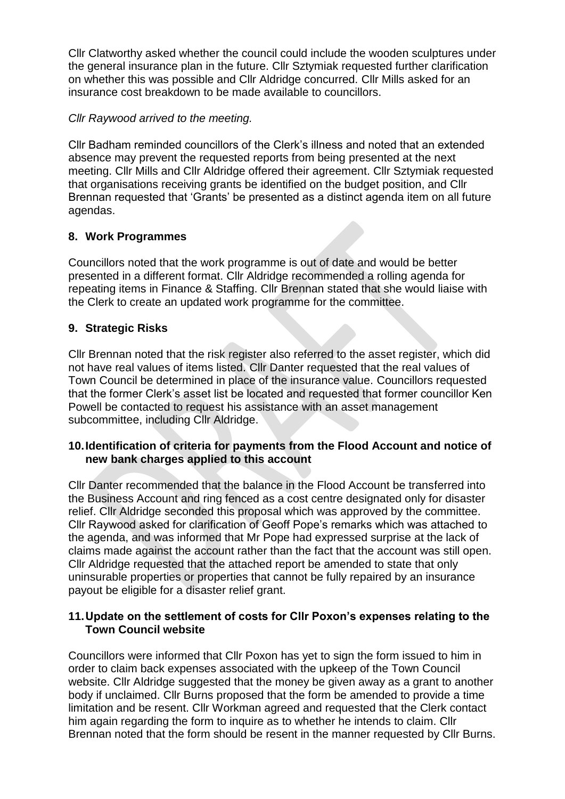Cllr Clatworthy asked whether the council could include the wooden sculptures under the general insurance plan in the future. Cllr Sztymiak requested further clarification on whether this was possible and Cllr Aldridge concurred. Cllr Mills asked for an insurance cost breakdown to be made available to councillors.

## *Cllr Raywood arrived to the meeting.*

Cllr Badham reminded councillors of the Clerk's illness and noted that an extended absence may prevent the requested reports from being presented at the next meeting. Cllr Mills and Cllr Aldridge offered their agreement. Cllr Sztymiak requested that organisations receiving grants be identified on the budget position, and Cllr Brennan requested that 'Grants' be presented as a distinct agenda item on all future agendas.

### **8. Work Programmes**

Councillors noted that the work programme is out of date and would be better presented in a different format. Cllr Aldridge recommended a rolling agenda for repeating items in Finance & Staffing. Cllr Brennan stated that she would liaise with the Clerk to create an updated work programme for the committee.

### **9. Strategic Risks**

Cllr Brennan noted that the risk register also referred to the asset register, which did not have real values of items listed. Cllr Danter requested that the real values of Town Council be determined in place of the insurance value. Councillors requested that the former Clerk's asset list be located and requested that former councillor Ken Powell be contacted to request his assistance with an asset management subcommittee, including Cllr Aldridge.

#### **10.Identification of criteria for payments from the Flood Account and notice of new bank charges applied to this account**

Cllr Danter recommended that the balance in the Flood Account be transferred into the Business Account and ring fenced as a cost centre designated only for disaster relief. Cllr Aldridge seconded this proposal which was approved by the committee. Cllr Raywood asked for clarification of Geoff Pope's remarks which was attached to the agenda, and was informed that Mr Pope had expressed surprise at the lack of claims made against the account rather than the fact that the account was still open. Cllr Aldridge requested that the attached report be amended to state that only uninsurable properties or properties that cannot be fully repaired by an insurance payout be eligible for a disaster relief grant.

#### **11.Update on the settlement of costs for Cllr Poxon's expenses relating to the Town Council website**

Councillors were informed that Cllr Poxon has yet to sign the form issued to him in order to claim back expenses associated with the upkeep of the Town Council website. Cllr Aldridge suggested that the money be given away as a grant to another body if unclaimed. Cllr Burns proposed that the form be amended to provide a time limitation and be resent. Cllr Workman agreed and requested that the Clerk contact him again regarding the form to inquire as to whether he intends to claim. Cllr Brennan noted that the form should be resent in the manner requested by Cllr Burns.